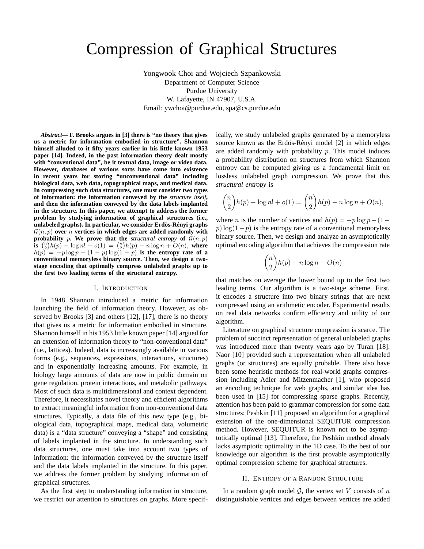# Compression of Graphical Structures

Yongwook Choi and Wojciech Szpankowski Department of Computer Science Purdue University W. Lafayette, IN 47907, U.S.A. Email: ywchoi@purdue.edu, spa@cs.purdue.edu

*Abstract***— F. Brooks argues in [3] there is "no theory that gives us a metric for information embodied in structure". Shannon himself alluded to it fifty years earlier in his little known 1953 paper [14]. Indeed, in the past information theory dealt mostly with "conventional data", be it textual data, image or video data. However, databases of various sorts have come into existence in recent years for storing "unconventional data" including biological data, web data, topographical maps, and medical data. In compressing such data structures, one must consider two types of information: the information conveyed by the** *structure itself***, and then the information conveyed by the data labels implanted in the structure. In this paper, we attempt to address the former problem by studying information of graphical structures (i.e., unlabeled graphs). In particular, we consider Erdös-Rényi graphs**  $\mathcal{G}(n, p)$  over *n* vertices in which edges are added randomly with **probability** p. We prove that the *structural entropy* of  $\mathcal{G}(n, p)$ **is**  $\binom{n}{2}h(p) - \log n! + o(1) = \binom{n}{2}h(p) - n \log n + O(n)$ , where  $h(p) = -p \log p - (1-p) \log(1-p)$  is the entropy rate of a **conventional memoryless binary source. Then, we design a twostage encoding that optimally compress unlabeled graphs up to the first two leading terms of the structural entropy.**

### I. INTRODUCTION

In 1948 Shannon introduced a metric for information launching the field of information theory. However, as observed by Brooks [3] and others [12], [17], there is no theory that gives us a metric for information embodied in structure. Shannon himself in his 1953 little known paper [14] argued for an extension of information theory to "non-conventional data" (i.e., lattices). Indeed, data is increasingly available in various forms (e.g., sequences, expressions, interactions, structures) and in exponentially increasing amounts. For example, in biology large amounts of data are now in public domain on gene regulation, protein interactions, and metabolic pathways. Most of such data is multidimensional and context dependent. Therefore, it necessitates novel theory and efficient algorithms to extract meaningful information from non-conventional data structures. Typically, a data file of this new type (e.g., biological data, topographical maps, medical data, volumetric data) is a "data structure" conveying a "shape" and consisting of labels implanted in the structure. In understanding such data structures, one must take into account two types of information: the information conveyed by the structure itself and the data labels implanted in the structure. In this paper, we address the former problem by studying information of graphical structures.

As the first step to understanding information in structure, we restrict our attention to structures on graphs. More specifically, we study unlabeled graphs generated by a memoryless source known as the Erdös-Rényi model [2] in which edges are added randomly with probability  $p$ . This model induces a probability distribution on structures from which Shannon entropy can be computed giving us a fundamental limit on lossless unlabeled graph compression. We prove that this *structural entropy* is

$$
\binom{n}{2}h(p) - \log n! + o(1) = \binom{n}{2}h(p) - n\log n + O(n),
$$

where *n* is the number of vertices and  $h(p) = -p \log p - (1 - p)$  $p)$  log(1−p) is the entropy rate of a conventional memoryless binary source. Then, we design and analyze an asymptotically optimal encoding algorithm that achieves the compression rate

$$
\binom{n}{2}h(p) - n\log n + O(n)
$$

that matches on average the lower bound up to the first two leading terms. Our algorithm is a two-stage scheme. First, it encodes a structure into two binary strings that are next compressed using an arithmetic encoder. Experimental results on real data networks confirm efficiency and utility of our algorithm.

Literature on graphical structure compression is scarce. The problem of succinct representation of general unlabeled graphs was introduced more than twenty years ago by Turan [18]. Naor [10] provided such a representation when all unlabeled graphs (or structures) are equally probable. There also have been some heuristic methods for real-world graphs compression including Adler and Mitzenmacher [1], who proposed an encoding technique for web graphs, and similar idea has been used in [15] for compressing sparse graphs. Recently, attention has been paid to grammar compression for some data structures: Peshkin [11] proposed an algorithm for a graphical extension of the one-dimensional SEQUITUR compression method. However, SEQUITUR is known not to be asymptotically optimal [13]. Therefore, the Peshkin method already lacks asymptotic optimality in the 1D case. To the best of our knowledge our algorithm is the first provable asymptotically optimal compression scheme for graphical structures.

#### II. ENTROPY OF A RANDOM STRUCTURE

In a random graph model  $G$ , the vertex set V consists of n distinguishable vertices and edges between vertices are added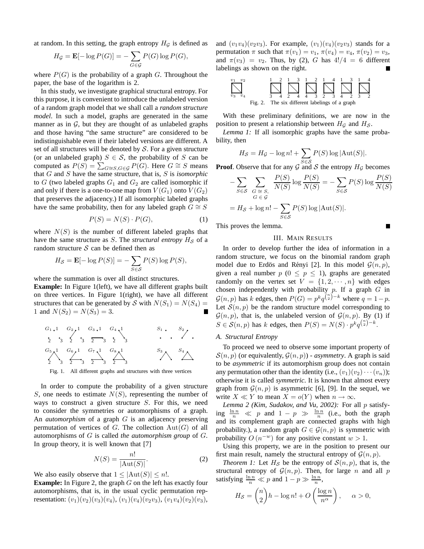at random. In this setting, the graph entropy  $H<sub>G</sub>$  is defined as

$$
H_{\mathcal{G}} = \mathbf{E}[-\log P(G)] = -\sum_{G \in \mathcal{G}} P(G) \log P(G),
$$

where  $P(G)$  is the probability of a graph G. Throughout the paper, the base of the logarithm is 2.

In this study, we investigate graphical structural entropy. For this purpose, it is convenient to introduce the unlabeled version of a random graph model that we shall call a *random structure model*. In such a model, graphs are generated in the same manner as in  $G$ , but they are thought of as unlabeled graphs and those having "the same structure" are considered to be indistinguishable even if their labeled versions are different. A set of all structures will be denoted by  $S$ . For a given structure (or an unlabeled graph)  $S \in \mathcal{S}$ , the probability of S can be computed as  $P(S) = \sum_{G \cong S, G \in \mathcal{G}} P(G)$ . Here  $G \cong S$  means that G and S have the same structure, that is, S is *isomorphic* to G (two labeled graphs  $G_1$  and  $G_2$  are called isomorphic if and only if there is a one-to-one map from  $V(G_1)$  onto  $V(G_2)$ that preserves the adjacency.) If all isomorphic labeled graphs have the same probability, then for any labeled graph  $G \cong S$ 

$$
P(S) = N(S) \cdot P(G),\tag{1}
$$

where  $N(S)$  is the number of different labeled graphs that have the same structure as  $S$ . The *structural entropy*  $H_S$  of a random structure  $S$  can be defined then as

$$
H_{\mathcal{S}} = \mathbf{E}[-\log P(S)] = -\sum_{S \in \mathcal{S}} P(S) \log P(S),
$$

where the summation is over all distinct structures.

**Example:** In Figure 1(left), we have all different graphs built on three vertices. In Figure 1(right), we have all different structures that can be generated by S with  $N(S_1) = N(S_4) =$ 1 and  $N(S_2) = N(S_3) = 3$ .

1 1 1 1 1 1 1 1 2 2 2 2 2 2 2 2 3 3 3 3 3 3 3 3 G1 G2 G3 G4 G5 G6 G7 G8 S1 S2 S3 S4

Fig. 1. All different graphs and structures with three vertices

In order to compute the probability of a given structure S, one needs to estimate  $N(S)$ , representing the number of ways to construct a given structure  $S$ . For this, we need to consider the symmetries or automorphisms of a graph. An *automorphism* of a graph G is an adjacency preserving permutation of vertices of G. The collection  $Aut(G)$  of all automorphisms of G is called *the automorphism group* of G. In group theory, it is well known that [7]

$$
N(S) = \frac{n!}{|\text{Aut}(S)|}.
$$
 (2)

We also easily observe that  $1 \leq |\text{Aut}(S)| \leq n!$ .

**Example:** In Figure 2, the graph G on the left has exactly four automorphisms, that is, in the usual cyclic permutation representation:  $(v_1)(v_2)(v_3)(v_4)$ ,  $(v_1)(v_4)(v_2v_3)$ ,  $(v_1v_4)(v_2)(v_3)$ , and  $(v_1v_4)(v_2v_3)$ . For example,  $(v_1)(v_4)(v_2v_3)$  stands for a permutation  $\pi$  such that  $\pi(v_1) = v_1$ ,  $\pi(v_4) = v_4$ ,  $\pi(v_2) = v_3$ , and  $\pi(v_3) = v_2$ . Thus, by (2), G has  $4!/4 = 6$  different labelings as shown on the right.

$$
\sum_{v_3}^{v_1} \dots \sum_{v_4}^{v_2} \frac{1}{s} \frac{1}{4} \sum_{2}^{2} \frac{1}{4} \sum_{4}^{3} \frac{1}{4} \sum_{3}^{2} \frac{1}{2} \frac{4}{3} \sum_{4}^{1} \frac{1}{3} \sum_{2}^{3} \frac{1}{4}
$$

With these preliminary definitions, we are now in the position to present a relationship between  $H<sub>G</sub>$  and  $H<sub>S</sub>$ .

*Lemma 1:* If all isomorphic graphs have the same probability, then

$$
H_{\mathcal{S}} = H_{\mathcal{G}} - \log n! + \sum_{S \in \mathcal{S}} P(S) \log |\text{Aut}(S)|.
$$

**Proof**. Observe that for any  $\mathcal{G}^{S \in \mathcal{S}}$  and S the entropy  $H_{\mathcal{G}}$  becomes

$$
-\sum_{S \in \mathcal{S}} \sum_{\substack{G \cong S, \\ G \in \mathcal{G}}} \frac{P(S)}{N(S)} \log \frac{P(S)}{N(S)} = -\sum_{S \in \mathcal{S}} P(S) \log \frac{P(S)}{N(S)}
$$

$$
= H_{\mathcal{S}} + \log n! - \sum_{S \in \mathcal{S}} P(S) \log |\text{Aut}(S)|.
$$

п

This proves the lemma.

#### III. MAIN RESULTS

In order to develop further the idea of information in a random structure, we focus on the binomial random graph model due to Erdös and Rényi [2]. In this model  $\mathcal{G}(n, p)$ , given a real number  $p$  ( $0 \leq p \leq 1$ ), graphs are generated randomly on the vertex set  $V = \{1, 2, \dots, n\}$  with edges chosen independently with probability  $p$ . If a graph  $G$  in  $\mathcal{G}(n, p)$  has k edges, then  $P(G) = p^k q^{\binom{n}{2} - k}$  where  $q = 1 - p$ . Let  $S(n, p)$  be the random structure model corresponding to  $\mathcal{G}(n, p)$ , that is, the unlabeled version of  $\mathcal{G}(n, p)$ . By (1) if  $S \in \mathcal{S}(n, p)$  has k edges, then  $P(S) = N(S) \cdot p^k q^{{n \choose 2} - k}$ .

# *A. Structural Entropy*

To proceed we need to observe some important property of  $S(n, p)$  (or equivalently,  $G(n, p)$ ) - *asymmetry*. A graph is said to be *asymmetric* if its automorphism group does not contain any permutation other than the identity (i.e.,  $(v_1)(v_2)\cdots(v_n)$ ); otherwise it is called *symmetric*. It is known that almost every graph from  $\mathcal{G}(n, p)$  is asymmetric [6], [9]. In the sequel, we write  $X \ll Y$  to mean  $X = o(Y)$  when  $n \to \infty$ .

*Lemma 2 (Kim, Sudakov, and Vu, 2002):* For all p satisfying  $\frac{\ln n}{n} \ll p$  and  $1 - p \gg \frac{\ln n}{n}$  (i.e., both the graph and its complement graph are connected graphs with high probability.), a random graph  $G \in \mathcal{G}(n, p)$  is symmetric with probability  $O(n^{-w})$  for any positive constant  $w > 1$ .

Using this property, we are in the position to present our first main result, namely the structural entropy of  $\mathcal{G}(n, p)$ .

*Theorem 1:* Let  $H_{\mathcal{S}}$  be the entropy of  $\mathcal{S}(n, p)$ , that is, the structural entropy of  $\mathcal{G}(n, p)$ . Then, for large n and all p satisfying  $\frac{\ln n}{n} \ll p$  and  $1 - p \gg \frac{\ln n}{n}$ ,

$$
H_{\mathcal{S}} = \binom{n}{2} h - \log n! + O\left(\frac{\log n}{n^{\alpha}}\right), \quad \alpha > 0,
$$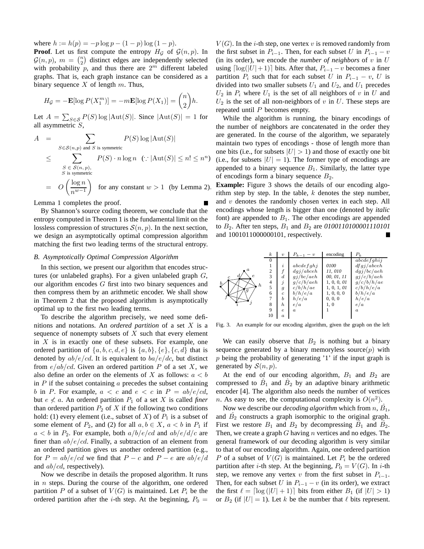where  $h := h(p) = -p \log p - (1 - p) \log (1 - p)$ .

**Proof.** Let us first compute the entropy  $H_G$  of  $\mathcal{G}(n, p)$ . In  $G(n, p)$ ,  $m = \binom{n}{2}$  distinct edges are independently selected with probability  $p$ , and thus there are  $2^m$  different labeled graphs. That is, each graph instance can be considered as a binary sequence  $X$  of length  $m$ . Thus,

$$
H_{\mathcal{G}} = -\mathbf{E}[\log P(X_1^m)] = -m\mathbf{E}[\log P(X_1)] = \binom{n}{2}h.
$$

Let  $A = \sum_{S \in \mathcal{S}} P(S) \log |\text{Aut}(S)|$ . Since  $|\text{Aut}(S)| = 1$  for all asymmetric S,

$$
A = \sum_{S \in \mathcal{S}(n,p) \text{ and } S \text{ is symmetric}}
$$
  
\n
$$
\leq \sum_{\substack{S \in \mathcal{S}(n,p),\\S \text{ is symmetric}}} P(S) \cdot n \log n \quad (\because |\text{Aut}(S)| \leq n! \leq n^n)
$$
  
\n
$$
= O\left(\frac{\log n}{n^{w-1}}\right) \text{ for any constant } w > 1 \text{ (by Lemma 2)}
$$

Lemma 1 completes the proof.

By Shannon's source coding theorem, we conclude that the entropy computed in Theorem 1 is the fundamental limit on the lossless compression of structures  $S(n, p)$ . In the next section, we design an asymptotically optimal compression algorithm matching the first two leading terms of the structural entropy.

## *B. Asymptotically Optimal Compression Algorithm*

In this section, we present our algorithm that encodes structures (or unlabeled graphs). For a given unlabeled graph  $G$ , our algorithm encodes G first into two binary sequences and then compress them by an arithmetic encoder. We shall show in Theorem 2 that the proposed algorithm is asymptotically optimal up to the first two leading terms.

To describe the algorithm precisely, we need some definitions and notations. An *ordered partition* of a set X is a sequence of nonempty subsets of  $X$  such that every element in  $X$  is in exactly one of these subsets. For example, one ordered partition of  $\{a, b, c, d, e\}$  is  $\{a, b\}, \{e\}, \{c, d\}$  that is denoted by  $ab/e/cd$ . It is equivalent to  $ba/e/dc$ , but distinct from  $e/ab/cd$ . Given an ordered partition P of a set X, we also define an order on the elements of X as follows:  $a < b$ in  $P$  if the subset containing  $\alpha$  precedes the subset containing b in P. For example,  $a < c$  and  $e < c$  in  $P = ab/e/cd$ , but  $e \nless a$ . An ordered partition  $P_1$  of a set X is called *finer* than ordered partition  $P_2$  of  $X$  if the following two conditions hold: (1) every element (i.e., subset of X) of  $P_1$  is a subset of some element of  $P_2$ , and (2) for all  $a, b \in X$ ,  $a < b$  in  $P_1$  if  $a < b$  in  $P_2$ . For example, both  $a/b/e/cd$  and  $ab/e/d/c$  are finer than  $ab/e/cd$ . Finally, a subtraction of an element from an ordered partition gives us another ordered partition (e.g., for  $P = ab/e$  we find that  $P - c$  and  $P - e$  are  $ab/e/d$ and  $ab/cd$ , respectively).

Now we describe in details the proposed algorithm. It runs in n steps. During the course of the algorithm, one ordered partition P of a subset of  $V(G)$  is maintained. Let  $P_i$  be the ordered partition after the *i*-th step. At the beginning,  $P_0 =$ 

 $V(G)$ . In the *i*-th step, one vertex v is removed randomly from the first subset in  $P_{i-1}$ . Then, for each subset U in  $P_{i-1} - v$ (in its order), we encode the *number of neighbors* of  $v$  in  $U$ using  $\lceil log(|U|+1) \rceil$  bits. After that,  $P_{i-1} - v$  becomes a finer partition  $P_i$  such that for each subset U in  $P_{i-1} - v$ , U is divided into two smaller subsets  $U_1$  and  $U_2$ , and  $U_1$  precedes  $U_2$  in  $P_i$  where  $U_1$  is the set of all neighbors of v in U and  $U_2$  is the set of all non-neighbors of v in U. These steps are repeated until  $P$  becomes empty.

While the algorithm is running, the binary encodings of the number of neighbors are concatenated in the order they are generated. In the course of the algorithm, we separately maintain two types of encodings - those of length more than one bits (i.e., for subsets  $|U| > 1$ ) and those of exactly one bit (i.e., for subsets  $|U| = 1$ ). The former type of encodings are appended to a binary sequence  $B_1$ . Similarly, the latter type of encodings form a binary sequence  $B_2$ .

**Example:** Figure 3 shows the details of our encoding algorithm step by step. In the table,  $k$  denotes the step number, and  $v$  denotes the randomly chosen vertex in each step. All encodings whose length is bigger than one (denoted by *italic* font) are appended to  $B_1$ . The other encodings are appended to B2. After ten steps, B<sup>1</sup> and B<sup>2</sup> are *0100110100001110101* and 1001011000000101, respectively.



Fig. 3. An example for our encoding algorithm, given the graph on the left

We can easily observe that  $B_2$  is nothing but a binary sequence generated by a binary memoryless source $(p)$  with  $p$  being the probability of generating '1' if the input graph is generated by  $S(n, p)$ .

At the end of our encoding algorithm,  $B_1$  and  $B_2$  are compressed to  $\hat{B}_1$  and  $\hat{B}_2$  by an adaptive binary arithmetic encoder [4]. The algorithm also needs the number of vertices n. As easy to see, the computational complexity is  $O(n^2)$ .

Now we describe our *decoding algorithm* which from  $n, \hat{B_1}$ , and  $\hat{B_2}$  constructs a graph isomorphic to the original graph. First we restore  $B_1$  and  $B_2$  by decompressing  $\hat{B}_1$  and  $\hat{B}_2$ . Then, we create a graph  $G$  having  $n$  vertices and no edges. The general framework of our decoding algorithm is very similar to that of our encoding algorithm. Again, one ordered partition P of a subset of  $V(G)$  is maintained. Let  $P_i$  be the ordered partition after *i*-th step. At the beginning,  $P_0 = V(G)$ . In *i*-th step, we remove any vertex v from the first subset in  $P_{i-1}$ . Then, for each subset U in  $P_{i-1} - v$  (in its order), we extract the first  $\ell = \lceil \log(|U| + 1) \rceil$  bits from either  $B_1$  (if  $|U| > 1$ ) or  $B_2$  (if  $|U| = 1$ ). Let k be the number that  $\ell$  bits represent.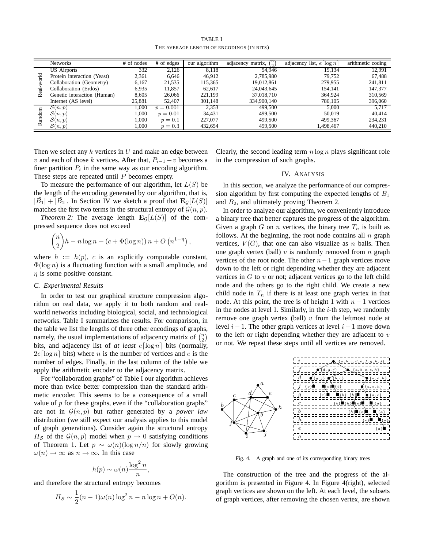TABLE I THE AVERAGE LENGTH OF ENCODINGS (IN BITS)

|        | <b>Networks</b>             | # of nodes | # of edges  | our algorithm | (n)<br>adjacency matrix, | adjacency list, $e \lceil \log n \rceil$ | arithmetic coding |
|--------|-----------------------------|------------|-------------|---------------|--------------------------|------------------------------------------|-------------------|
| 곧<br>∝ | <b>US</b> Airports          | 332        | 2.126       | 8,118         | 54.946                   | 19.134                                   | 12.991            |
|        | Protein interaction (Yeast) | 2,361      | 6,646       | 46.912        | 2.785.980                | 79.752                                   | 67.488            |
|        | Collaboration (Geometry)    | 6,167      | 21,535      | 115,365       | 19,012,861               | 279,955                                  | 241,811           |
|        | Collaboration (Erdös)       | 6,935      | 11,857      | 62,617        | 24,043,645               | 154.141                                  | 147,377           |
|        | Genetic interaction (Human) | 8,605      | 26,066      | 221,199       | 37,018,710               | 364,924                                  | 310,569           |
|        | Internet (AS level)         | 25,881     | 52,407      | 301.148       | 334,900,140              | 786,105                                  | 396,060           |
| ≃      | S(n,p)                      | 1.000      | $p = 0.001$ | 2,353         | 499,500                  | 5.000                                    | 5.717             |
|        | $\mathcal{S}(n,p)$          | 1.000      | $p = 0.01$  | 34,431        | 499,500                  | 50,019                                   | 40.414            |
|        | $\mathcal{S}(n,p)$          | 1,000      | $p = 0.1$   | 227,077       | 499,500                  | 499,367                                  | 234,231           |
|        | $\mathcal{S}(n,p)$          | 1.000      | $p=0.3$     | 432.654       | 499.500                  | 1.498.467                                | 440.210           |

Then we select any  $k$  vertices in  $U$  and make an edge between v and each of those k vertices. After that,  $P_{i-1} - v$  becomes a finer partition  $P_i$  in the same way as our encoding algorithm. These steps are repeated until  $P$  becomes empty.

To measure the performance of our algorithm, let  $L(S)$  be the length of the encoding generated by our algorithm, that is,  $|\hat{B_1}| + |\hat{B_2}|$ . In Section IV we sketch a proof that  $\mathbf{E}_{\mathcal{G}}[L(S)]$ matches the first two terms in the structural entropy of  $\mathcal{G}(n, p)$ .

*Theorem 2:* The average length  $\mathbf{E}_G[L(S)]$  of the compressed sequence does not exceed

$$
\binom{n}{2}h - n\log n + (c + \Phi(\log n)) n + O\left(n^{1-\eta}\right),
$$

where  $h := h(p)$ , c is an explicitly computable constant,  $\Phi(\log n)$  is a fluctuating function with a small amplitude, and  $\eta$  is some positive constant.

# *C. Experimental Results*

In order to test our graphical structure compression algorithm on real data, we apply it to both random and realworld networks including biological, social, and technological networks. Table I summarizes the results. For comparison, in the table we list the lengths of three other encodings of graphs, namely, the usual implementations of adjacency matrix of  $\binom{n}{2}$ bits, and adjacency list of *at least*  $e[\log n]$  bits (normally,  $2e \lceil \log n \rceil$  bits) where *n* is the number of vertices and *e* is the number of edges. Finally, in the last column of the table we apply the arithmetic encoder to the adjacency matrix.

For "collaboration graphs" of Table I our algorithm achieves more than twice better compression than the standard arithmetic encoder. This seems to be a consequence of a small value of  $p$  for these graphs, even if the "collaboration graphs" are not in  $\mathcal{G}(n, p)$  but rather generated by a *power law* distribution (we still expect our analysis applies to this model of graph generations). Consider again the structural entropy  $H_{\mathcal{S}}$  of the  $\mathcal{G}(n, p)$  model when  $p \to 0$  satisfying conditions of Theorem 1. Let  $p \sim \omega(n)(\log n/n)$  for slowly growing  $\omega(n) \to \infty$  as  $n \to \infty$ . In this case

$$
h(p) \sim \omega(n) \frac{\log^2 n}{n},
$$

and therefore the structural entropy becomes

$$
H_{\mathcal{S}} \sim \frac{1}{2}(n-1)\omega(n)\log^2 n - n\log n + O(n).
$$

Clearly, the second leading term  $n \log n$  plays significant role in the compression of such graphs.

# IV. ANALYSIS

In this section, we analyze the performance of our compression algorithm by first computing the expected lengths of  $B_1$ and  $B_2$ , and ultimately proving Theorem 2.

In order to analyze our algorithm, we conveniently introduce a binary tree that better captures the progress of the algorithm. Given a graph G on n vertices, the binary tree  $T_n$  is built as follows. At the beginning, the root node contains all  $n$  graph vertices,  $V(G)$ , that one can also visualize as n balls. Then one graph vertex (ball)  $v$  is randomly removed from  $n$  graph vertices of the root node. The other  $n-1$  graph vertices move down to the left or right depending whether they are adjacent vertices in  $G$  to  $v$  or not; adjacent vertices go to the left child node and the others go to the right child. We create a new child node in  $T_n$  if there is at least one graph vertex in that node. At this point, the tree is of height 1 with  $n - 1$  vertices in the nodes at level 1. Similarly, in the  $i$ -th step, we randomly remove one graph vertex (ball)  $v$  from the leftmost node at level  $i - 1$ . The other graph vertices at level  $i - 1$  move down to the left or right depending whether they are adjacent to  $v$ or not. We repeat these steps until all vertices are removed.



Fig. 4. A graph and one of its corresponding binary trees

The construction of the tree and the progress of the algorithm is presented in Figure 4. In Figure 4(right), selected graph vertices are shown on the left. At each level, the subsets of graph vertices, after removing the chosen vertex, are shown